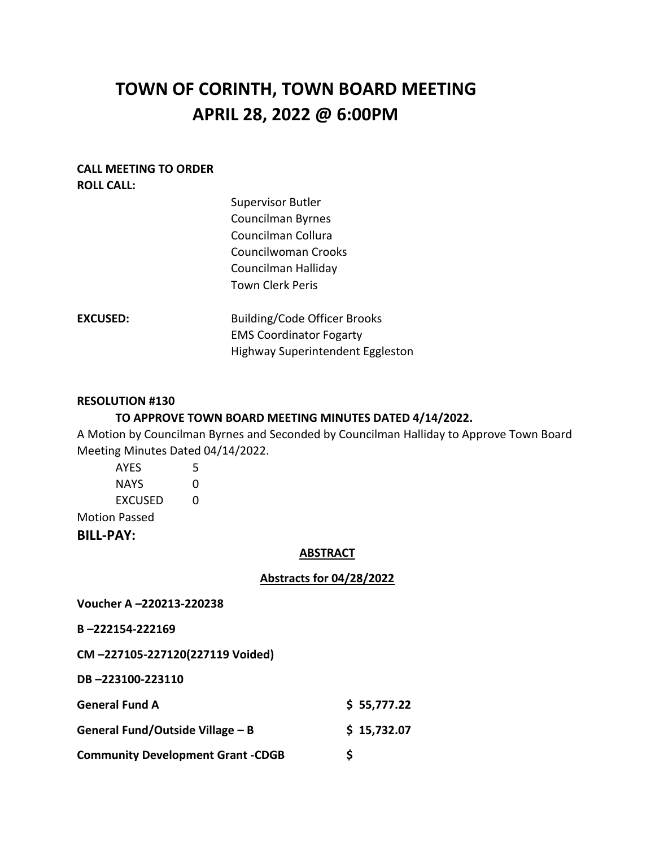# **TOWN OF CORINTH, TOWN BOARD MEETING APRIL 28, 2022 @ 6:00PM**

#### **CALL MEETING TO ORDER ROLL CALL:**

|                 | <b>Supervisor Butler</b>            |
|-----------------|-------------------------------------|
|                 | <b>Councilman Byrnes</b>            |
|                 | Councilman Collura                  |
|                 | Councilwoman Crooks                 |
|                 | Councilman Halliday                 |
|                 | <b>Town Clerk Peris</b>             |
| <b>EXCUSED:</b> | <b>Building/Code Officer Brooks</b> |
|                 | <b>EMS Coordinator Fogarty</b>      |
|                 | Highway Superintendent Eggleston    |
|                 |                                     |

#### **RESOLUTION #130**

# **TO APPROVE TOWN BOARD MEETING MINUTES DATED 4/14/2022.**

A Motion by Councilman Byrnes and Seconded by Councilman Halliday to Approve Town Board Meeting Minutes Dated 04/14/2022.

| <b>NAYS</b>          | O |  |  |  |
|----------------------|---|--|--|--|
| <b>EXCUSED</b>       | O |  |  |  |
|                      |   |  |  |  |
| <b>Motion Passed</b> |   |  |  |  |
| <b>BILL-PAY:</b>     |   |  |  |  |

#### **ABSTRACT**

# **Abstracts for 04/28/2022**

**Voucher A –220213-220238**

#### **B –222154-222169**

**CM –227105-227120(227119 Voided)**

**DB –223100-223110**

| <b>General Fund A</b>                    | \$55,777.22 |
|------------------------------------------|-------------|
| General Fund/Outside Village – B         | \$15,732.07 |
| <b>Community Development Grant -CDGB</b> |             |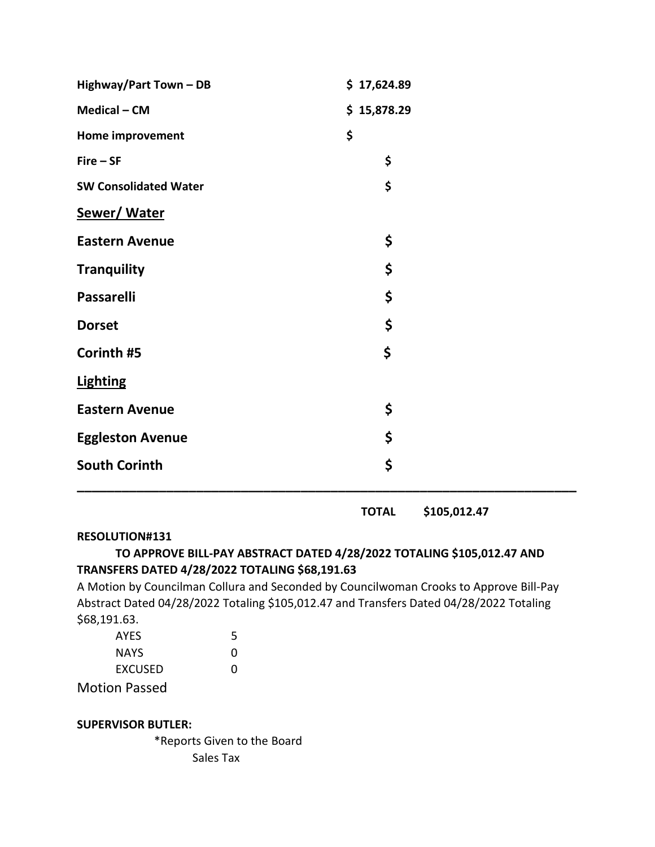| Highway/Part Town - DB       | \$17,624.89 |
|------------------------------|-------------|
| Medical - CM                 | \$15,878.29 |
| Home improvement             | \$          |
| $Fire - SF$                  | \$          |
| <b>SW Consolidated Water</b> | \$          |
| <b>Sewer/Water</b>           |             |
| <b>Eastern Avenue</b>        | \$          |
| <b>Tranquility</b>           | \$          |
| <b>Passarelli</b>            | \$          |
| <b>Dorset</b>                | \$          |
| Corinth #5                   | \$          |
| <b>Lighting</b>              |             |
| <b>Eastern Avenue</b>        | \$          |
| <b>Eggleston Avenue</b>      | \$          |
| <b>South Corinth</b>         | \$          |

 **TOTAL \$105,012.47**

#### **RESOLUTION#131**

# **TO APPROVE BILL-PAY ABSTRACT DATED 4/28/2022 TOTALING \$105,012.47 AND TRANSFERS DATED 4/28/2022 TOTALING \$68,191.63**

A Motion by Councilman Collura and Seconded by Councilwoman Crooks to Approve Bill-Pay Abstract Dated 04/28/2022 Totaling \$105,012.47 and Transfers Dated 04/28/2022 Totaling \$68,191.63.

| <b>AYES</b>          | 5            |
|----------------------|--------------|
| <b>NAYS</b>          | $\mathbf{U}$ |
| EXCUSED              | 0            |
| <b>Motion Passed</b> |              |

# **SUPERVISOR BUTLER:**

\*Reports Given to the Board Sales Tax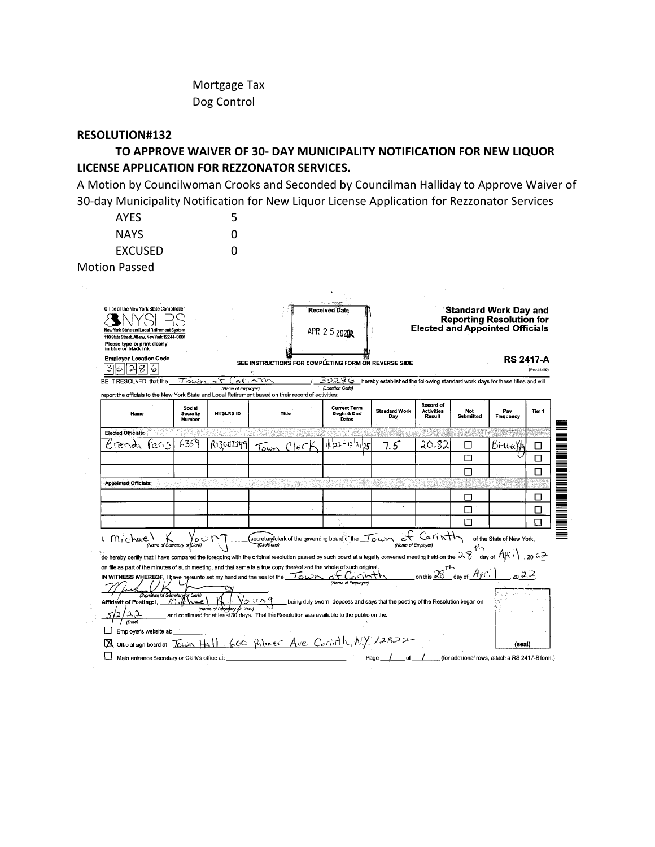Mortgage Tax Dog Control

# **RESOLUTION#132**

**TO APPROVE WAIVER OF 30- DAY MUNICIPALITY NOTIFICATION FOR NEW LIQUOR LICENSE APPLICATION FOR REZZONATOR SERVICES.**

A Motion by Councilwoman Crooks and Seconded by Councilman Halliday to Approve Waiver of 30-day Municipality Notification for New Liquor License Application for Rezzonator Services

| <b>AYES</b>    |   |
|----------------|---|
| <b>NAYS</b>    | 0 |
| <b>EXCUSED</b> | 0 |
|                |   |

Motion Passed

| Office of the New York State Comptroller<br>York State and Local Retirement System<br>110 State Street, Albany, New York 12244-0001<br>Please type or print clearly<br>in blue or black ink<br><b>Employer Location Code</b><br>З<br>BE IT RESOLVED, that the | 6                                                                  | Town                                |                                        | SEE INSTRUCTIONS FOR COMPLETING FORM ON REVERSE SIDE<br>いいさい                                                                                                                                                                                                                                                                                                                                                                                                                                                                                                                                                                                                                                 | <b>Received Date</b><br>APR 2 5 2020R<br>302<br>∞                                                   | hereby established the following standard work days for these titles and will |                                          |                  | <b>Standard Work Day and</b><br><b>Reporting Resolution for</b><br><b>Elected and Appointed Officials</b><br><b>RS 2417-A</b> | [Rev.11/19] |
|---------------------------------------------------------------------------------------------------------------------------------------------------------------------------------------------------------------------------------------------------------------|--------------------------------------------------------------------|-------------------------------------|----------------------------------------|----------------------------------------------------------------------------------------------------------------------------------------------------------------------------------------------------------------------------------------------------------------------------------------------------------------------------------------------------------------------------------------------------------------------------------------------------------------------------------------------------------------------------------------------------------------------------------------------------------------------------------------------------------------------------------------------|-----------------------------------------------------------------------------------------------------|-------------------------------------------------------------------------------|------------------------------------------|------------------|-------------------------------------------------------------------------------------------------------------------------------|-------------|
| Name                                                                                                                                                                                                                                                          |                                                                    | <b>Social</b><br>Security<br>Number | (Name of Employer)<br><b>NYSLRS ID</b> | report the officials to the New York State and Local Retirement based on their record of activities:<br>Title                                                                                                                                                                                                                                                                                                                                                                                                                                                                                                                                                                                | (Location Code)<br><b>Current Term</b><br>Begin & End<br>Dates                                      | <b>Standard Work</b><br>Day                                                   | Record of<br><b>Activities</b><br>Result | Not<br>Submitted | Pay<br>Frequency                                                                                                              | Tier 1      |
| <b>Elected Officials:</b>                                                                                                                                                                                                                                     |                                                                    |                                     |                                        |                                                                                                                                                                                                                                                                                                                                                                                                                                                                                                                                                                                                                                                                                              |                                                                                                     |                                                                               |                                          |                  |                                                                                                                               |             |
| Brenda                                                                                                                                                                                                                                                        | 'ens                                                               | 6359                                | R13007249                              | $C$ le $C$<br>Town                                                                                                                                                                                                                                                                                                                                                                                                                                                                                                                                                                                                                                                                           | 11 02 - 12 31<br>υ٢                                                                                 | 7.5                                                                           | 20.SJ                                    | П                | Bi-WeeKh                                                                                                                      | □           |
|                                                                                                                                                                                                                                                               |                                                                    |                                     |                                        |                                                                                                                                                                                                                                                                                                                                                                                                                                                                                                                                                                                                                                                                                              |                                                                                                     |                                                                               |                                          | Ш                |                                                                                                                               | П           |
|                                                                                                                                                                                                                                                               |                                                                    |                                     |                                        |                                                                                                                                                                                                                                                                                                                                                                                                                                                                                                                                                                                                                                                                                              |                                                                                                     |                                                                               |                                          | П                |                                                                                                                               | П           |
| <b>Appointed Officials:</b>                                                                                                                                                                                                                                   |                                                                    |                                     |                                        |                                                                                                                                                                                                                                                                                                                                                                                                                                                                                                                                                                                                                                                                                              |                                                                                                     |                                                                               |                                          |                  |                                                                                                                               |             |
|                                                                                                                                                                                                                                                               |                                                                    |                                     |                                        |                                                                                                                                                                                                                                                                                                                                                                                                                                                                                                                                                                                                                                                                                              |                                                                                                     |                                                                               |                                          | ┑                |                                                                                                                               | п           |
|                                                                                                                                                                                                                                                               |                                                                    |                                     |                                        |                                                                                                                                                                                                                                                                                                                                                                                                                                                                                                                                                                                                                                                                                              |                                                                                                     | $\kappa$                                                                      |                                          | П                |                                                                                                                               | П           |
|                                                                                                                                                                                                                                                               |                                                                    |                                     |                                        |                                                                                                                                                                                                                                                                                                                                                                                                                                                                                                                                                                                                                                                                                              |                                                                                                     |                                                                               |                                          | П                |                                                                                                                               | п           |
| Michae<br><b>Affidavit of Posting: I.</b><br>Employer's website at:                                                                                                                                                                                           | (Name of Secretary or Clerk)<br>(Signaliate of Secretary or Clerk) | M.Ahoe                              | (Name of Secretary or Clerk)           | secretary clerk of the governing board of the $\neg$ cwn<br><b>(Circle one)</b><br>do hereby certify that I have compared the foregoing with the original resolution passed by such board at a legally convened meeting held on the $\frac{28}{3}$ day of $\frac{A\beta\gamma}{4}$<br>on file as part of the minutes of such meeting, and that same is a true copy thereof and the whole of such original.<br>IN WITNESS WHEREOF, I have hereunto set my hand and the seal of the $\tau_{\rm e}$ $\omega$ r of<br>ひへっ<br>and continued for at least 30 days. That the Resolution was available to the public on the:<br>Official sign board at: Town Hall 600 Palmer Ave Corinth, N.Y. 12822 | (Name of Employer)<br>being duly swom, deposes and says that the posting of the Resolution began on | c<br>(Name of Employer)                                                       | Corinth<br>on this $28$                  |                  | of the State of New York.<br>(seal)                                                                                           |             |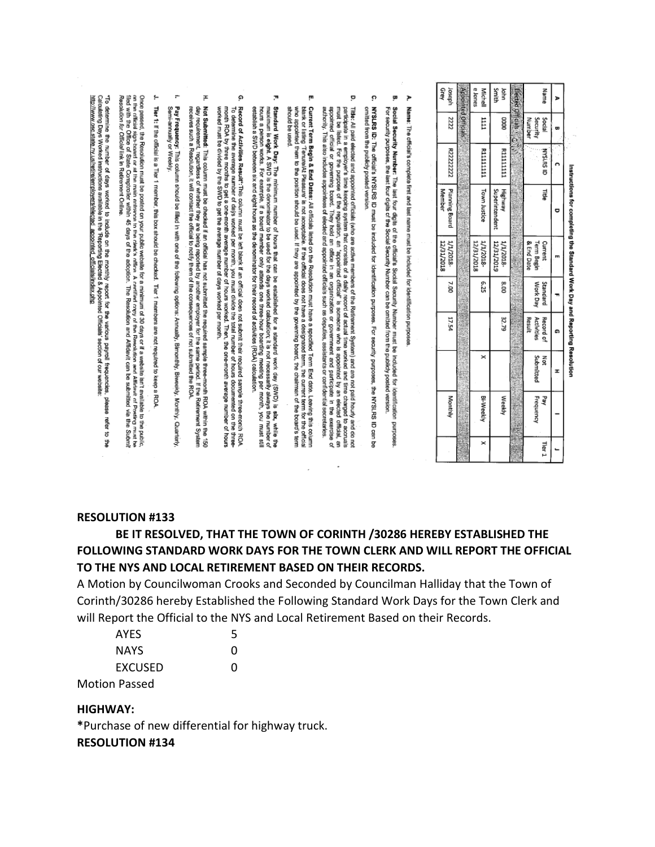| Grey<br>Joseph           |                     | e Jones<br>Michell      | Smith<br>ВÁ               | Elected Officials |                          | auuen            | ъ |
|--------------------------|---------------------|-------------------------|---------------------------|-------------------|--------------------------|------------------|---|
| 2222                     | Appointed Officials | III                     | <b>ODOC</b>               |                   | Number<br>security       | <b>Social</b>    | Œ |
| R2222222                 |                     | <b>FITTITITIN</b>       | <b>FIIIIIIII</b>          |                   |                          | <b>UISSISSID</b> |   |
| Planning Board<br>Member |                     | Town Justice            | Highway<br>Superintendent |                   |                          | 큹                |   |
| 1/1/2018-<br>12/31/2018  |                     | 12/31/2018<br>1/1/2018- | 1/1/2018-<br>12/31/2019   |                   | & End Date<br>Term Begin | Current          |   |
| 7.00                     |                     | 6.25                    | 8.00                      |                   | Work Day                 | Standard         |   |
| 17.54                    |                     |                         | 32.79                     |                   | Activities<br>Result     | Record of        | ດ |
|                          |                     | ×                       |                           |                   | Submitted                | Not              | I |
| Monthly                  |                     | Bi-Weekly               | Weekly                    |                   | <b>Hrequency</b>         | Aed              |   |
|                          |                     | ×                       |                           |                   |                          | Tier 1           |   |

Instructions for completing the Standard Work Day and Reporting Resolution

 $\geq$ Name: The official's complete first and last name must be included for identification purposes

- ā, Sodial Security Number: The last four digits of the official's Sodial Security Number must be induded for identification purposes<br>For security purposes, the last four digits of the Social Security Number can be omitted fr
- ö NYSLES (D. The official's NYSLES ID must be included for identification purposes. For security purposess, the NYSLES ID can be omitted from the publicly posted version
- $\circ$ Titler. All paid elected and appointed officials (who are active members of the Refirement System) and are not paid hourly and do not met<br>must be listed. For the purpose of the regulation, an "appointed official" is someon authority. This also includes appointees of elected and appointed officials such as deputies, assistants or confidential secretaries.
- įn. Current Term Begin & End Dates: All ofiticials listed on the Resolution must have a specified Term End date. Leeving this column<br>blank or listing "Terune/At Pleasure' is not acceptable. If the offictal does not have a desi should be used.
- $\overline{\mathcal{D}}$ Standard Work Day: The minimum number of hours that can be established for a standard work day (SWD) is star, while the<br>hours a person works. For example, if a board member only attends one three-hour boarding meeting palv
- G) Record of Activities Result":This column must be left blank if an official does not submit their required sample three-month ROA<br>To determine the average number of deijs worked per month, you must divide the total number o To del ROA te fixe average has bet of days worked per month; you must divide the total number of hours documented on the three-<br>And the fixed by the average the period for a monted performance of days average the total mon
- Ŧ Not Submitted: This column must be checked if an official has not submitted the required sample three-month ROA within the 150<br>day requirement, regardless of whether they are being reported by another employer for the same day requirement, regardless of whether they are being reported by another employer for the same period. If the f<br>receives such a Resolution, it will contact the official to notify them of the consequences of not submitted
- ÷ Pay Frequency: This column should be filled in with one of the following options: Amually, Bimonthy, Biweeky, Monthly, Quartery<br>Semi-annually or Weekly.
- ţ. Tier 1: If the official is a Tier 1 member, this box should be checked. Tier 1 members are not required to keep a ROA

Resortion for Official link in Metudian Colline. Once passed, the Resolution must be posted on your public website for a minimum of 30 days or if a vebsite isn't available to the public,<br>The first state of State Comptroller within 45 days of the adoption. The Resolution

Calculating Days Worked instructions available in the 'Reporting Elected & Appoln<br>http://www.osc.state.ry.us/refire/lenployers/elected\_appointed\_officials/index.php "To determine the number of days worked to indude on the monthly report for the various payroll frequencies, please<br>Calculating Days Worked instructions available in the Reporting Elected & Appointed Officials' section of refer  $\dot{5}$ 

#### **RESOLUTION #133**

# **BE IT RESOLVED, THAT THE TOWN OF CORINTH /30286 HEREBY ESTABLISHED THE FOLLOWING STANDARD WORK DAYS FOR THE TOWN CLERK AND WILL REPORT THE OFFICIAL TO THE NYS AND LOCAL RETIREMENT BASED ON THEIR RECORDS.**

A Motion by Councilwoman Crooks and Seconded by Councilman Halliday that the Town of Corinth/30286 hereby Established the Following Standard Work Days for the Town Clerk and will Report the Official to the NYS and Local Retirement Based on their Records.

| AYES        | 5 |
|-------------|---|
| <b>NAYS</b> | O |
| EXCUSED     | O |
| n Daccad    |   |

Motion Passed

# **HIGHWAY:**

**\***Purchase of new differential for highway truck. **RESOLUTION #134**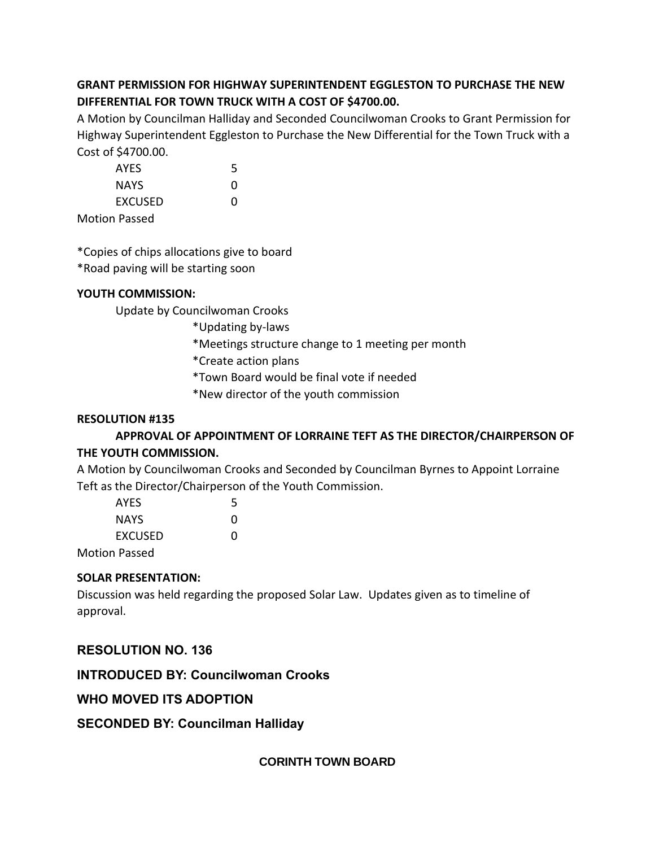# **GRANT PERMISSION FOR HIGHWAY SUPERINTENDENT EGGLESTON TO PURCHASE THE NEW DIFFERENTIAL FOR TOWN TRUCK WITH A COST OF \$4700.00.**

A Motion by Councilman Halliday and Seconded Councilwoman Crooks to Grant Permission for Highway Superintendent Eggleston to Purchase the New Differential for the Town Truck with a Cost of \$4700.00.

| <b>AYES</b>    | 5 |
|----------------|---|
| NAYS           | O |
| <b>EXCUSED</b> | O |
| tion Daccod    |   |

Motion Passed

\*Copies of chips allocations give to board

\*Road paving will be starting soon

# **YOUTH COMMISSION:**

Update by Councilwoman Crooks

\*Updating by-laws

- \*Meetings structure change to 1 meeting per month
- \*Create action plans
- \*Town Board would be final vote if needed
- \*New director of the youth commission

# **RESOLUTION #135**

# **APPROVAL OF APPOINTMENT OF LORRAINE TEFT AS THE DIRECTOR/CHAIRPERSON OF THE YOUTH COMMISSION.**

A Motion by Councilwoman Crooks and Seconded by Councilman Byrnes to Appoint Lorraine Teft as the Director/Chairperson of the Youth Commission.

| AYES                 | 5            |
|----------------------|--------------|
| NAYS                 | $\mathbf{U}$ |
| <b>EXCUSED</b>       | 0            |
| <b>Motion Passed</b> |              |

# **SOLAR PRESENTATION:**

Discussion was held regarding the proposed Solar Law. Updates given as to timeline of approval.

# **RESOLUTION NO. 136**

# **INTRODUCED BY: Councilwoman Crooks**

# **WHO MOVED ITS ADOPTION**

# **SECONDED BY: Councilman Halliday**

**CORINTH TOWN BOARD**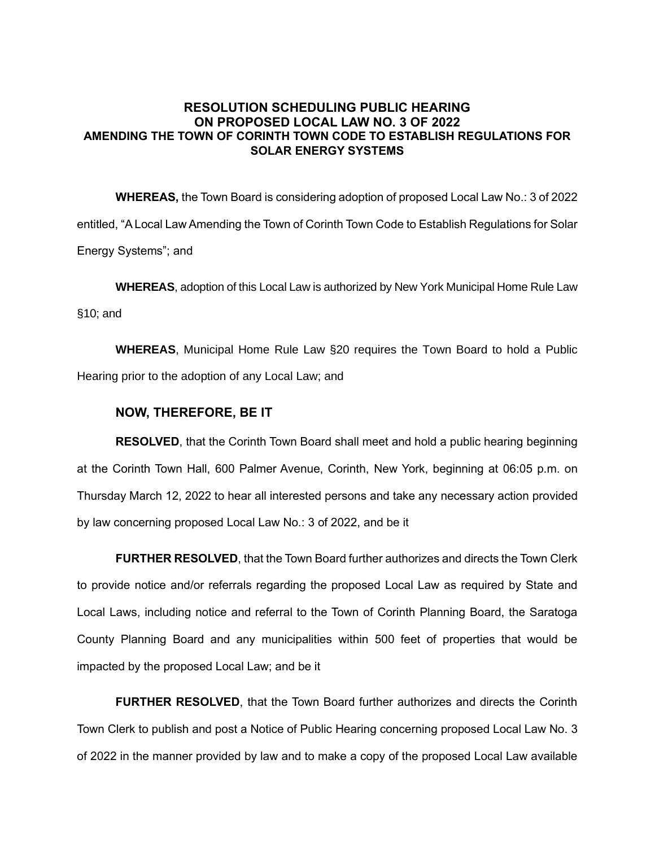## **RESOLUTION SCHEDULING PUBLIC HEARING ON PROPOSED LOCAL LAW NO. 3 OF 2022 AMENDING THE TOWN OF CORINTH TOWN CODE TO ESTABLISH REGULATIONS FOR SOLAR ENERGY SYSTEMS**

**WHEREAS,** the Town Board is considering adoption of proposed Local Law No.: 3 of 2022 entitled, "A Local Law Amending the Town of Corinth Town Code to Establish Regulations for Solar Energy Systems"; and

**WHEREAS**, adoption of this Local Law is authorized by New York Municipal Home Rule Law §10; and

**WHEREAS**, Municipal Home Rule Law §20 requires the Town Board to hold a Public Hearing prior to the adoption of any Local Law; and

# **NOW, THEREFORE, BE IT**

**RESOLVED**, that the Corinth Town Board shall meet and hold a public hearing beginning at the Corinth Town Hall, 600 Palmer Avenue, Corinth, New York, beginning at 06:05 p.m. on Thursday March 12, 2022 to hear all interested persons and take any necessary action provided by law concerning proposed Local Law No.: 3 of 2022, and be it

**FURTHER RESOLVED**, that the Town Board further authorizes and directs the Town Clerk to provide notice and/or referrals regarding the proposed Local Law as required by State and Local Laws, including notice and referral to the Town of Corinth Planning Board, the Saratoga County Planning Board and any municipalities within 500 feet of properties that would be impacted by the proposed Local Law; and be it

**FURTHER RESOLVED**, that the Town Board further authorizes and directs the Corinth Town Clerk to publish and post a Notice of Public Hearing concerning proposed Local Law No. 3 of 2022 in the manner provided by law and to make a copy of the proposed Local Law available